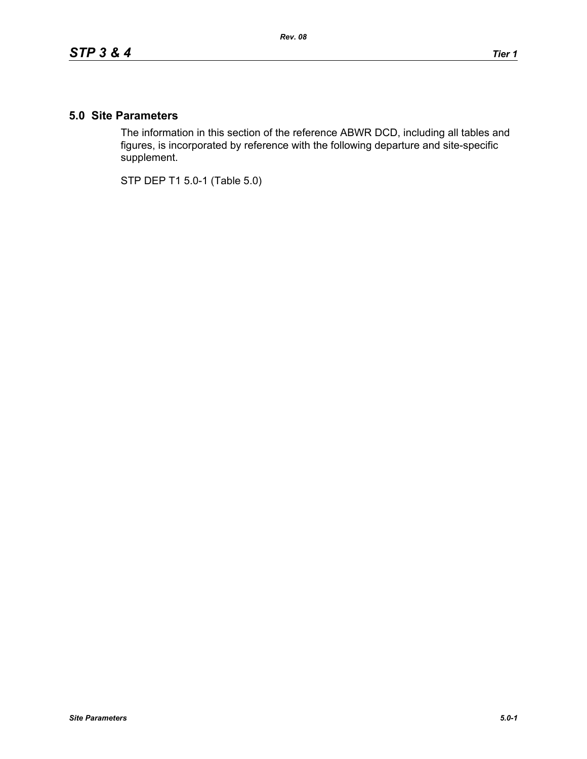## **5.0 Site Parameters**

The information in this section of the reference ABWR DCD, including all tables and figures, is incorporated by reference with the following departure and site-specific supplement.

STP DEP T1 5.0-1 (Table 5.0)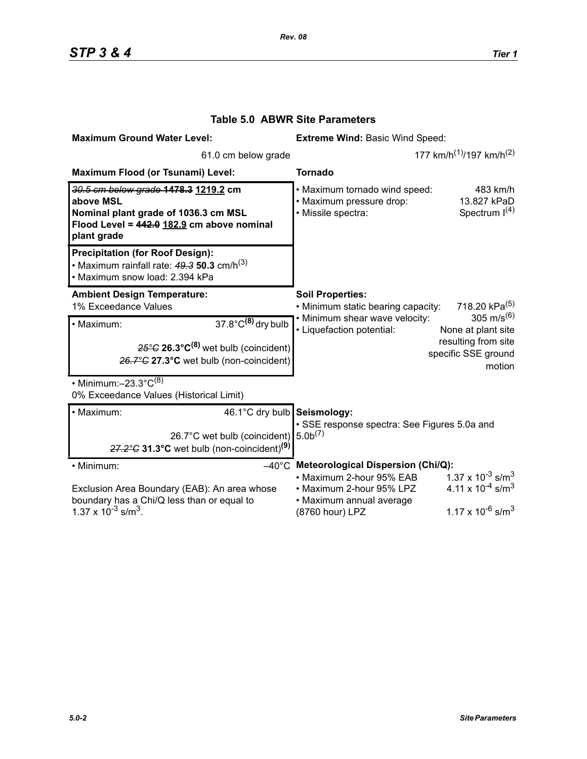| <b>Maximum Ground Water Level:</b>                                                                                                                                         | <b>Extreme Wind: Basic Wind Speed:</b>                                                                                                                                                                                                                                             |
|----------------------------------------------------------------------------------------------------------------------------------------------------------------------------|------------------------------------------------------------------------------------------------------------------------------------------------------------------------------------------------------------------------------------------------------------------------------------|
| 61.0 cm below grade                                                                                                                                                        | 177 km/h <sup>(1)</sup> /197 km/h <sup>(2)</sup>                                                                                                                                                                                                                                   |
| Maximum Flood (or Tsunami) Level:                                                                                                                                          | <b>Tornado</b>                                                                                                                                                                                                                                                                     |
| 30.5 cm below grade 1478.3 1219.2 cm<br>above MSL<br>Nominal plant grade of 1036.3 cm MSL<br>Flood Level = 442.0 182.9 cm above nominal<br>plant grade                     | . Maximum tornado wind speed:<br>483 km/h<br>· Maximum pressure drop:<br>13.827 kPaD<br>Spectrum $I(4)$<br>· Missile spectra:                                                                                                                                                      |
| <b>Precipitation (for Roof Design):</b><br>• Maximum rainfall rate: $49.3$ 50.3 cm/h <sup>(3)</sup><br>· Maximum snow load: 2.394 kPa                                      |                                                                                                                                                                                                                                                                                    |
| <b>Ambient Design Temperature:</b><br>1% Exceedance Values                                                                                                                 | <b>Soil Properties:</b><br>718.20 kPa <sup>(5)</sup><br>• Minimum static bearing capacity:                                                                                                                                                                                         |
| $37.8^{\circ}$ C <sup>(8)</sup> dry bulb<br>· Maximum:<br>$25^{\circ}$ G 26.3 $^{\circ}$ C <sup>(8)</sup> wet bulb (coincident)<br>26.7°C 27.3°C wet bulb (non-coincident) | 305 m/s <sup>(6)</sup><br>• Minimum shear wave velocity:<br>• Liquefaction potential:<br>None at plant site<br>resulting from site<br>specific SSE ground<br>motion                                                                                                                |
| • Minimum: $-23.3^{\circ}C^{(8)}$<br>0% Exceedance Values (Historical Limit)                                                                                               |                                                                                                                                                                                                                                                                                    |
| 46.1°C dry bulb Seismology:<br>· Maximum:<br>26.7°C wet bulb (coincident)<br>$27.2^{\circ}$ C 31.3°C wet bulb (non-coincident) <sup>(9)</sup>                              | · SSE response spectra: See Figures 5.0a and<br>5.0 <sup>(7)</sup>                                                                                                                                                                                                                 |
| • Minimum:<br>Exclusion Area Boundary (EAB): An area whose<br>boundary has a Chi/Q less than or equal to<br>$1.37 \times 10^{-3}$ s/m <sup>3</sup> .                       | $-40^{\circ}$ C Meteorological Dispersion (Chi/Q):<br>$1.37 \times 10^{-3}$ s/m <sup>3</sup><br>• Maximum 2-hour 95% EAB<br>4.11 x $10^{-4}$ s/m <sup>3</sup><br>• Maximum 2-hour 95% LPZ<br>• Maximum annual average<br>$1.17 \times 10^{-6}$ s/m <sup>3</sup><br>(8760 hour) LPZ |

## **Table 5.0 ABWR Site Parameters**